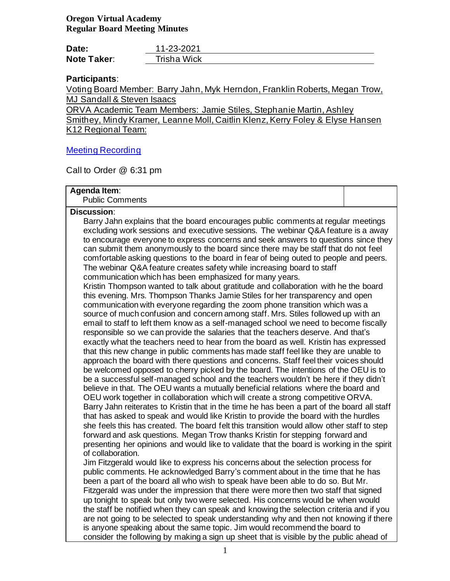# **Oregon Virtual Academy Regular Board Meeting Minutes**

| Date:              | 11-23-2021  |  |
|--------------------|-------------|--|
| <b>Note Taker:</b> | Trisha Wick |  |

# **Participants**:

Voting Board Member: Barry Jahn, Myk Herndon, Franklin Roberts, Megan Trow, MJ Sandall & Steven Isaacs

ORVA Academic Team Members: Jamie Stiles, Stephanie Martin,Ashley Smithey, Mindy Kramer, Leanne Moll, Caitlin Klenz, Kerry Foley & Elyse Hansen K12 Regional Team:

# [Meeting Recording](https://us02web.zoom.us/rec/share/6QcSwW-znmSNm4m4wO9KgkAzEowqk9P0mjo7CutxUUe4oLWNOUjt3e8URsFDvAs5.hao2tTwE3ad9BM4z?startTime=1637721381000)

Call to Order @ 6:31 pm

## **Agenda Item**:

Public Comments

## **Discussion**:

Barry Jahn explains that the board encourages public comments at regular meetings excluding work sessions and executive sessions. The webinar Q&A feature is a away to encourage everyone to express concerns and seek answers to questions since they can submit them anonymously to the board since there may be staff that do not feel comfortable asking questions to the board in fear of being outed to people and peers. The webinar Q&A feature creates safety while increasing board to staff communication which has been emphasized for many years.

Kristin Thompson wanted to talk about gratitude and collaboration with he the board this evening. Mrs. Thompson Thanks Jamie Stiles for her transparency and open communication with everyone regarding the zoom phone transition which was a source of much confusion and concern among staff. Mrs. Stiles followed up with an email to staff to left them know as a self-managed school we need to become fiscally responsible so we can provide the salaries that the teachers deserve. And that's exactly what the teachers need to hear from the board as well. Kristin has expressed that this new change in public comments has made staff feel like they are unable to approach the board with there questions and concerns. Staff feel their voices should be welcomed opposed to cherry picked by the board. The intentions of the OEU is to be a successful self-managed school and the teachers wouldn't be here if they didn't believe in that. The OEU wants a mutually beneficial relations where the board and OEU work together in collaboration which will create a strong competitive ORVA. Barry Jahn reiterates to Kristin that in the time he has been a part of the board all staff that has asked to speak and would like Kristin to provide the board with the hurdles she feels this has created. The board felt this transition would allow other staff to step forward and ask questions. Megan Trow thanks Kristin for stepping forward and presenting her opinions and would like to validate that the board is working in the spirit of collaboration.

Jim Fitzgerald would like to express his concerns about the selection process for public comments. He acknowledged Barry's comment about in the time that he has been a part of the board all who wish to speak have been able to do so. But Mr. Fitzgerald was under the impression that there were more then two staff that signed up tonight to speak but only two were selected. His concerns would be when would the staff be notified when they can speak and knowing the selection criteria and if you are not going to be selected to speak understanding why and then not knowing if there is anyone speaking about the same topic. Jim would recommend the board to consider the following by making a sign up sheet that is visible by the public ahead of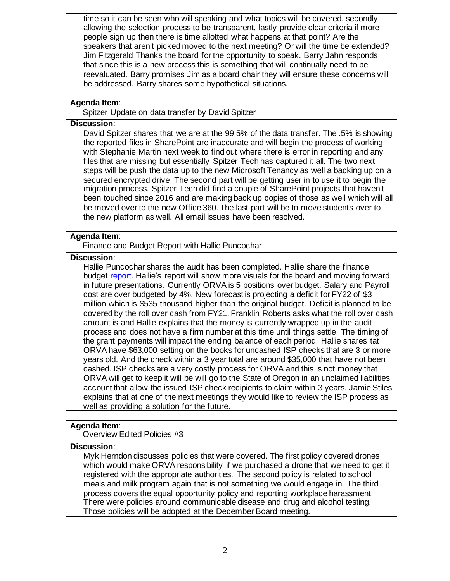time so it can be seen who will speaking and what topics will be covered, secondly allowing the selection process to be transparent, lastly provide clear criteria if more people sign up then there is time allotted what happens at that point? Are the speakers that aren't picked moved to the next meeting? Or will the time be extended? Jim Fitzgerald Thanks the board for the opportunity to speak. Barry Jahn responds that since this is a new process this is something that will continually need to be reevaluated. Barry promises Jim as a board chair they will ensure these concerns will be addressed. Barry shares some hypothetical situations.

# **Agenda Item**:

Spitzer Update on data transfer by David Spitzer

#### **Discussion**:

David Spitzer shares that we are at the 99.5% of the data transfer. The .5% is showing the reported files in SharePoint are inaccurate and will begin the process of working with Stephanie Martin next week to find out where there is error in reporting and any files that are missing but essentially Spitzer Tech has captured it all. The two next steps will be push the data up to the new Microsoft Tenancy as well a backing up on a secured encrypted drive. The second part will be getting user in to use it to begin the migration process. Spitzer Tech did find a couple of SharePoint projects that haven't been touched since 2016 and are making back up copies of those as well which will all be moved over to the new Office 360. The last part will be to move students over to the new platform as well. All email issues have been resolved.

# **Agenda Item**:

Finance and Budget Report with Hallie Puncochar

# **Discussion**:

Hallie Puncochar shares the audit has been completed. Hallie share the finance budget [report.](https://k12inc-my.sharepoint.com/:p:/g/personal/twick_oregonva_org/EQLQ39q61MtDhEbib9qsShAB0VUf5SPlcFbwKOmJl6cpJA) Hallie's report will show more visuals for the board and moving forward in future presentations. Currently ORVA is 5 positions over budget. Salary and Payroll cost are over budgeted by 4%. New forecast is projecting a deficit for FY22 of \$3 million which is \$535 thousand higher than the original budget. Deficit is planned to be covered by the roll over cash from FY21. Franklin Roberts asks what the roll over cash amount is and Hallie explains that the money is currently wrapped up in the audit process and does not have a firm number at this time until things settle. The timing of the grant payments will impact the ending balance of each period. Hallie shares tat ORVA have \$63,000 setting on the books for uncashed ISP checks that are 3 or more years old. And the check within a 3 year total are around \$35,000 that have not been cashed. ISP checks are a very costly process for ORVA and this is not money that ORVA will get to keep it will be will go to the State of Oregon in an unclaimed liabilities account that allow the issued ISP check recipients to claim within 3 years. Jamie Stiles explains that at one of the next meetings they would like to review the ISP process as well as providing a solution for the future.

### **Agenda Item**:

Overview Edited Policies #3

### **Discussion**:

Myk Herndon discusses policies that were covered. The first policy covered drones which would make ORVA responsibility if we purchased a drone that we need to get it registered with the appropriate authorities. The second policy is related to school meals and milk program again that is not something we would engage in. The third process covers the equal opportunity policy and reporting workplace harassment. There were policies around communicable disease and drug and alcohol testing. Those policies will be adopted at the December Board meeting.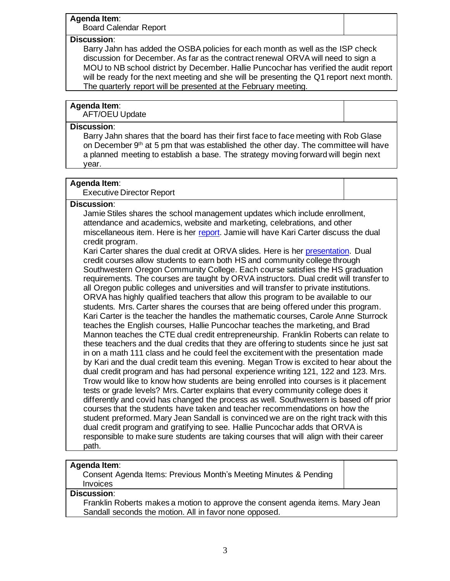# **Agenda Item**:

Board Calendar Report

# **Discussion**:

Barry Jahn has added the OSBA policies for each month as well as the ISP check discussion for December. As far as the contract renewal ORVA will need to sign a MOU to NB school district by December. Hallie Puncochar has verified the audit report will be ready for the next meeting and she will be presenting the Q1 report next month. The quarterly report will be presented at the February meeting.

## **Agenda Item**:

AFT/OEU Update

## **Discussion**:

Barry Jahn shares that the board has their first face to face meeting with Rob Glase on December  $9<sup>th</sup>$  at 5 pm that was established the other day. The committee will have a planned meeting to establish a base. The strategy moving forward will begin next year.

## **Agenda Item**:

### Executive Director Report

### **Discussion**:

Jamie Stiles shares the school management updates which include enrollment, attendance and academics, website and marketing, celebrations, and other miscellaneous item. Here is her [report.](https://k12inc-my.sharepoint.com/:p:/g/personal/twick_oregonva_org/Ef6xdrxU0rlOj5NdE4NAFDoBCVlYVSNqP_CSx3RHqTKYfQ) Jamie will have Kari Carter discuss the dual credit program.

Kari Carter shares the dual credit at ORVA slides. Here is her [presentation.](https://k12inc-my.sharepoint.com/:p:/g/personal/twick_oregonva_org/EZ6yQdUVzeZBnE4Khib-ZdEBeyTfElw1Bj3dzy5MYbFlkw) Dual credit courses allow students to earn both HS and community college through Southwestern Oregon Community College. Each course satisfies the HS graduation requirements. The courses are taught by ORVA instructors. Dual credit will transfer to all Oregon public colleges and universities and will transfer to private institutions. ORVA has highly qualified teachers that allow this program to be available to our students. Mrs. Carter shares the courses that are being offered under this program. Kari Carter is the teacher the handles the mathematic courses, Carole Anne Sturrock teaches the English courses, Hallie Puncochar teaches the marketing, and Brad Mannon teaches the CTE dual credit entrepreneurship. Franklin Roberts can relate to these teachers and the dual credits that they are offering to students since he just sat in on a math 111 class and he could feel the excitement with the presentation made by Kari and the dual credit team this evening. Megan Trow is excited to hear about the dual credit program and has had personal experience writing 121, 122 and 123. Mrs. Trow would like to know how students are being enrolled into courses is it placement tests or grade levels? Mrs. Carter explains that every community college does it differently and covid has changed the process as well. Southwestern is based off prior courses that the students have taken and teacher recommendations on how the student preformed. Mary Jean Sandall is convinced we are on the right track with this dual credit program and gratifying to see. Hallie Puncochar adds that ORVA is responsible to make sure students are taking courses that will align with their career path.

## **Agenda Item**:

Consent Agenda Items: Previous Month's Meeting Minutes & Pending **Invoices** 

## **Discussion**:

Franklin Roberts makes a motion to approve the consent agenda items. Mary Jean Sandall seconds the motion. All in favor none opposed.